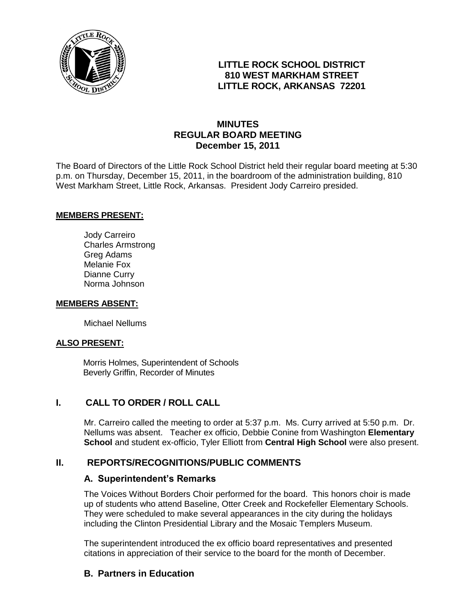

# **LITTLE ROCK SCHOOL DISTRICT 810 WEST MARKHAM STREET LITTLE ROCK, ARKANSAS 72201**

# **MINUTES REGULAR BOARD MEETING December 15, 2011**

The Board of Directors of the Little Rock School District held their regular board meeting at 5:30 p.m. on Thursday, December 15, 2011, in the boardroom of the administration building, 810 West Markham Street, Little Rock, Arkansas. President Jody Carreiro presided.

#### **MEMBERS PRESENT:**

Jody Carreiro Charles Armstrong Greg Adams Melanie Fox Dianne Curry Norma Johnson

#### **MEMBERS ABSENT:**

Michael Nellums

#### **ALSO PRESENT:**

 Morris Holmes, Superintendent of Schools Beverly Griffin, Recorder of Minutes

## **I. CALL TO ORDER / ROLL CALL**

Mr. Carreiro called the meeting to order at 5:37 p.m. Ms. Curry arrived at 5:50 p.m. Dr. Nellums was absent. Teacher ex officio, Debbie Conine from Washington **Elementary School** and student ex-officio, Tyler Elliott from **Central High School** were also present.

## **II. REPORTS/RECOGNITIONS/PUBLIC COMMENTS**

#### **A. Superintendent's Remarks**

The Voices Without Borders Choir performed for the board. This honors choir is made up of students who attend Baseline, Otter Creek and Rockefeller Elementary Schools. They were scheduled to make several appearances in the city during the holidays including the Clinton Presidential Library and the Mosaic Templers Museum.

The superintendent introduced the ex officio board representatives and presented citations in appreciation of their service to the board for the month of December.

## **B. Partners in Education**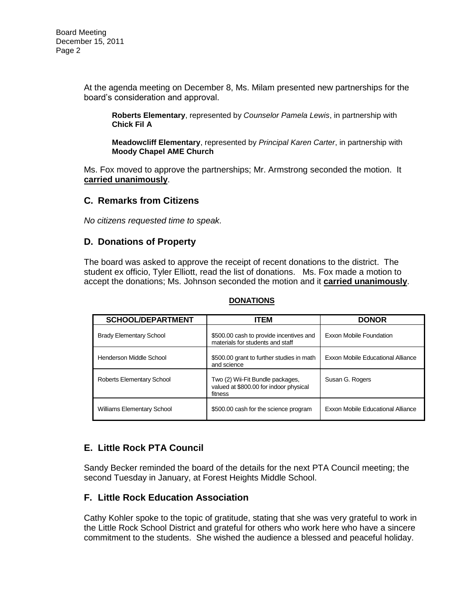At the agenda meeting on December 8, Ms. Milam presented new partnerships for the board's consideration and approval.

**Roberts Elementary**, represented by *Counselor Pamela Lewis*, in partnership with **Chick Fil A**

**Meadowcliff Elementary**, represented by *Principal Karen Carter*, in partnership with **Moody Chapel AME Church**

Ms. Fox moved to approve the partnerships; Mr. Armstrong seconded the motion. It **carried unanimously**.

#### **C. Remarks from Citizens**

*No citizens requested time to speak.* 

#### **D. Donations of Property**

The board was asked to approve the receipt of recent donations to the district. The student ex officio, Tyler Elliott, read the list of donations. Ms. Fox made a motion to accept the donations; Ms. Johnson seconded the motion and it **carried unanimously**.

| <b>SCHOOL/DEPARTMENT</b>          | ITEM                                                                                  | <b>DONOR</b>                      |
|-----------------------------------|---------------------------------------------------------------------------------------|-----------------------------------|
| <b>Brady Elementary School</b>    | \$500.00 cash to provide incentives and<br>materials for students and staff           | Exxon Mobile Foundation           |
| Henderson Middle School           | \$500.00 grant to further studies in math<br>and science                              | Exxon Mobile Educational Alliance |
| Roberts Elementary School         | Two (2) Wii-Fit Bundle packages,<br>valued at \$800.00 for indoor physical<br>fitness | Susan G. Rogers                   |
| <b>Williams Elementary School</b> | \$500.00 cash for the science program                                                 | Exxon Mobile Educational Alliance |

#### **DONATIONS**

## **E. Little Rock PTA Council**

Sandy Becker reminded the board of the details for the next PTA Council meeting; the second Tuesday in January, at Forest Heights Middle School.

## **F. Little Rock Education Association**

Cathy Kohler spoke to the topic of gratitude, stating that she was very grateful to work in the Little Rock School District and grateful for others who work here who have a sincere commitment to the students. She wished the audience a blessed and peaceful holiday.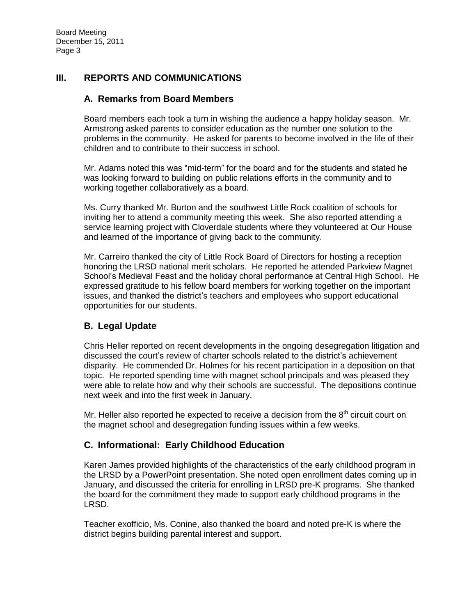## **III. REPORTS AND COMMUNICATIONS**

# **A. Remarks from Board Members**

Board members each took a turn in wishing the audience a happy holiday season. Mr. Armstrong asked parents to consider education as the number one solution to the problems in the community. He asked for parents to become involved in the life of their children and to contribute to their success in school.

Mr. Adams noted this was "mid-term" for the board and for the students and stated he was looking forward to building on public relations efforts in the community and to working together collaboratively as a board.

Ms. Curry thanked Mr. Burton and the southwest Little Rock coalition of schools for inviting her to attend a community meeting this week. She also reported attending a service learning project with Cloverdale students where they volunteered at Our House and learned of the importance of giving back to the community.

Mr. Carreiro thanked the city of Little Rock Board of Directors for hosting a reception honoring the LRSD national merit scholars. He reported he attended Parkview Magnet School's Medieval Feast and the holiday choral performance at Central High School. He expressed gratitude to his fellow board members for working together on the important issues, and thanked the district's teachers and employees who support educational opportunities for our students.

# **B. Legal Update**

Chris Heller reported on recent developments in the ongoing desegregation litigation and discussed the court's review of charter schools related to the district's achievement disparity. He commended Dr. Holmes for his recent participation in a deposition on that topic. He reported spending time with magnet school principals and was pleased they were able to relate how and why their schools are successful. The depositions continue next week and into the first week in January.

Mr. Heller also reported he expected to receive a decision from the  $8<sup>th</sup>$  circuit court on the magnet school and desegregation funding issues within a few weeks.

# **C. Informational: Early Childhood Education**

Karen James provided highlights of the characteristics of the early childhood program in the LRSD by a PowerPoint presentation. She noted open enrollment dates coming up in January, and discussed the criteria for enrolling in LRSD pre-K programs. She thanked the board for the commitment they made to support early childhood programs in the LRSD.

Teacher exofficio, Ms. Conine, also thanked the board and noted pre-K is where the district begins building parental interest and support.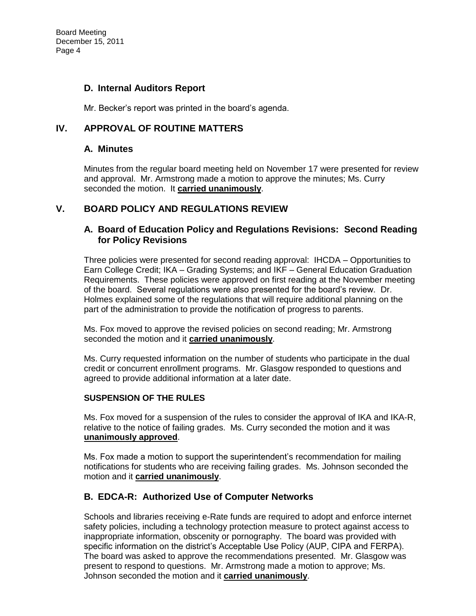## **D. Internal Auditors Report**

Mr. Becker's report was printed in the board's agenda.

# **IV. APPROVAL OF ROUTINE MATTERS**

## **A. Minutes**

Minutes from the regular board meeting held on November 17 were presented for review and approval. Mr. Armstrong made a motion to approve the minutes; Ms. Curry seconded the motion. It **carried unanimously**.

# **V. BOARD POLICY AND REGULATIONS REVIEW**

## **A. Board of Education Policy and Regulations Revisions: Second Reading for Policy Revisions**

Three policies were presented for second reading approval: IHCDA – Opportunities to Earn College Credit; IKA – Grading Systems; and IKF – General Education Graduation Requirements. These policies were approved on first reading at the November meeting of the board. Several regulations were also presented for the board's review. Dr. Holmes explained some of the regulations that will require additional planning on the part of the administration to provide the notification of progress to parents.

Ms. Fox moved to approve the revised policies on second reading; Mr. Armstrong seconded the motion and it **carried unanimously**.

Ms. Curry requested information on the number of students who participate in the dual credit or concurrent enrollment programs. Mr. Glasgow responded to questions and agreed to provide additional information at a later date.

#### **SUSPENSION OF THE RULES**

Ms. Fox moved for a suspension of the rules to consider the approval of IKA and IKA-R, relative to the notice of failing grades. Ms. Curry seconded the motion and it was **unanimously approved**.

Ms. Fox made a motion to support the superintendent's recommendation for mailing notifications for students who are receiving failing grades. Ms. Johnson seconded the motion and it **carried unanimously**.

## **B. EDCA-R: Authorized Use of Computer Networks**

Schools and libraries receiving e-Rate funds are required to adopt and enforce internet safety policies, including a technology protection measure to protect against access to inappropriate information, obscenity or pornography. The board was provided with specific information on the district's Acceptable Use Policy (AUP, CIPA and FERPA). The board was asked to approve the recommendations presented. Mr. Glasgow was present to respond to questions. Mr. Armstrong made a motion to approve; Ms. Johnson seconded the motion and it **carried unanimously**.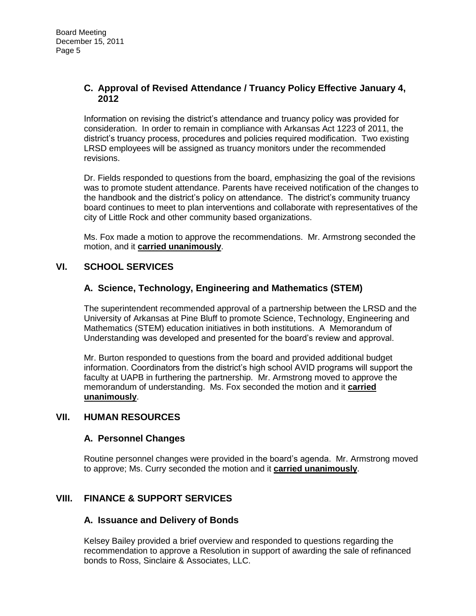# **C. Approval of Revised Attendance / Truancy Policy Effective January 4, 2012**

Information on revising the district's attendance and truancy policy was provided for consideration. In order to remain in compliance with Arkansas Act 1223 of 2011, the district's truancy process, procedures and policies required modification. Two existing LRSD employees will be assigned as truancy monitors under the recommended revisions.

Dr. Fields responded to questions from the board, emphasizing the goal of the revisions was to promote student attendance. Parents have received notification of the changes to the handbook and the district's policy on attendance. The district's community truancy board continues to meet to plan interventions and collaborate with representatives of the city of Little Rock and other community based organizations.

Ms. Fox made a motion to approve the recommendations. Mr. Armstrong seconded the motion, and it **carried unanimously**.

# **VI. SCHOOL SERVICES**

# **A. Science, Technology, Engineering and Mathematics (STEM)**

The superintendent recommended approval of a partnership between the LRSD and the University of Arkansas at Pine Bluff to promote Science, Technology, Engineering and Mathematics (STEM) education initiatives in both institutions. A Memorandum of Understanding was developed and presented for the board's review and approval.

Mr. Burton responded to questions from the board and provided additional budget information. Coordinators from the district's high school AVID programs will support the faculty at UAPB in furthering the partnership. Mr. Armstrong moved to approve the memorandum of understanding. Ms. Fox seconded the motion and it **carried unanimously**.

## **VII. HUMAN RESOURCES**

#### **A. Personnel Changes**

Routine personnel changes were provided in the board's agenda. Mr. Armstrong moved to approve; Ms. Curry seconded the motion and it **carried unanimously**.

## **VIII. FINANCE & SUPPORT SERVICES**

#### **A. Issuance and Delivery of Bonds**

Kelsey Bailey provided a brief overview and responded to questions regarding the recommendation to approve a Resolution in support of awarding the sale of refinanced bonds to Ross, Sinclaire & Associates, LLC.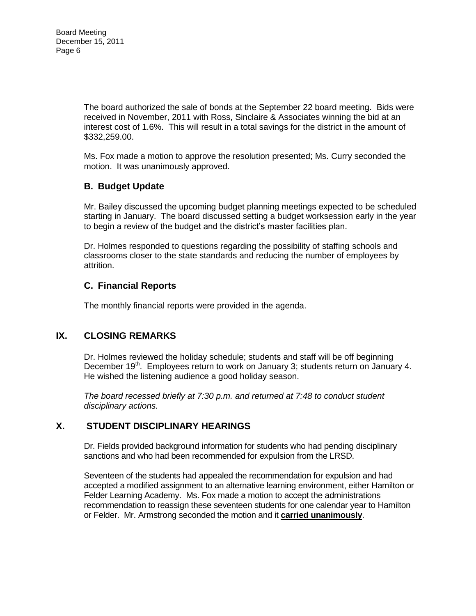The board authorized the sale of bonds at the September 22 board meeting. Bids were received in November, 2011 with Ross, Sinclaire & Associates winning the bid at an interest cost of 1.6%. This will result in a total savings for the district in the amount of \$332,259.00.

Ms. Fox made a motion to approve the resolution presented; Ms. Curry seconded the motion. It was unanimously approved.

## **B. Budget Update**

Mr. Bailey discussed the upcoming budget planning meetings expected to be scheduled starting in January. The board discussed setting a budget worksession early in the year to begin a review of the budget and the district's master facilities plan.

Dr. Holmes responded to questions regarding the possibility of staffing schools and classrooms closer to the state standards and reducing the number of employees by attrition.

#### **C. Financial Reports**

The monthly financial reports were provided in the agenda.

## **IX. CLOSING REMARKS**

Dr. Holmes reviewed the holiday schedule; students and staff will be off beginning December 19<sup>th</sup>. Employees return to work on January 3; students return on January 4. He wished the listening audience a good holiday season.

*The board recessed briefly at 7:30 p.m. and returned at 7:48 to conduct student disciplinary actions.* 

# **X. STUDENT DISCIPLINARY HEARINGS**

Dr. Fields provided background information for students who had pending disciplinary sanctions and who had been recommended for expulsion from the LRSD.

Seventeen of the students had appealed the recommendation for expulsion and had accepted a modified assignment to an alternative learning environment, either Hamilton or Felder Learning Academy. Ms. Fox made a motion to accept the administrations recommendation to reassign these seventeen students for one calendar year to Hamilton or Felder. Mr. Armstrong seconded the motion and it **carried unanimously**.